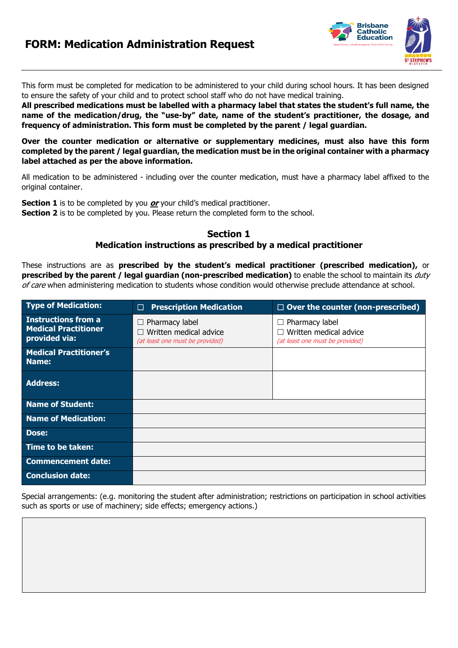# **FORM: Medication Administration Request**



This form must be completed for medication to be administered to your child during school hours. It has been designed to ensure the safety of your child and to protect school staff who do not have medical training.

**All prescribed medications must be labelled with a pharmacy label that states the student's full name, the name of the medication/drug, the "use-by" date, name of the student's practitioner, the dosage, and frequency of administration. This form must be completed by the parent / legal guardian.**

**Over the counter medication or alternative or supplementary medicines, must also have this form completed by the parent / legal guardian, the medication must be in the original container with a pharmacy label attached as per the above information.**

All medication to be administered - including over the counter medication, must have a pharmacy label affixed to the original container.

**Section 1** is to be completed by you **or** your child's medical practitioner. **Section 2** is to be completed by you. Please return the completed form to the school.

### **Section 1**

#### **Medication instructions as prescribed by a medical practitioner**

These instructions are as **prescribed by the student's medical practitioner (prescribed medication),** or **prescribed by the parent / legal guardian (non-prescribed medication)** to enable the school to maintain its duty of care when administering medication to students whose condition would otherwise preclude attendance at school.

| <b>Type of Medication:</b>                                                 | <b>Prescription Medication</b><br>$\Box$                                           | $\Box$ Over the counter (non-prescribed)                                    |
|----------------------------------------------------------------------------|------------------------------------------------------------------------------------|-----------------------------------------------------------------------------|
| <b>Instructions from a</b><br><b>Medical Practitioner</b><br>provided via: | $\Box$ Pharmacy label<br>Written medical advice<br>(at least one must be provided) | Pharmacy label<br>Written medical advice<br>(at least one must be provided) |
| <b>Medical Practitioner's</b><br>Name:                                     |                                                                                    |                                                                             |
| <b>Address:</b>                                                            |                                                                                    |                                                                             |
| <b>Name of Student:</b>                                                    |                                                                                    |                                                                             |
| <b>Name of Medication:</b>                                                 |                                                                                    |                                                                             |
| <b>Dose:</b>                                                               |                                                                                    |                                                                             |
| Time to be taken:                                                          |                                                                                    |                                                                             |
| <b>Commencement date:</b>                                                  |                                                                                    |                                                                             |
| <b>Conclusion date:</b>                                                    |                                                                                    |                                                                             |

Special arrangements: (e.g. monitoring the student after administration; restrictions on participation in school activities such as sports or use of machinery; side effects; emergency actions.)